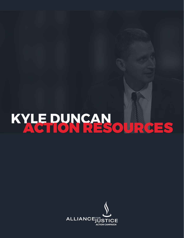# KYLE PUNCAN OURCES

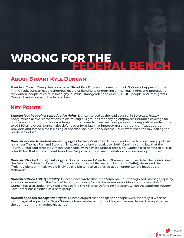## WRONG FOR THE ALLE

### **About Stuart Kyle Duncan**

President Donald Trump has nominated Stuart Kyle Duncan for a seat on the U.S. Court of Appeals for the Fifth Circuit. Duncan has a dangerous record of fighting to undermine critical legal rights and protections for women, people of color, lesbian, gay, bisexual, transgender and queer (LGBTQ) people, and immigrants. Duncan has no place on the federal bench.

## **Key Points**

*Duncan fought against reproductive rights.* Duncan served as the lead counsel in *Burwell v. Hobby Lobby*, which allows corporations to claim religious grounds for denying employees insurance coverage for contraception, and provides a roadmap for businesses to claim religious grounds to deny critical protections to LGBTQ employees. Duncan also defended a Texas law that imposed major burdens on Texas abortion providers and forced a mass closing of abortion facilities. The Supreme Court overturned the law, calling the .<br>burdens "undue*"* 

**Duncan worked to undermine voting rights for people of color.** Duncan worked with fellow Trump judicial nominees Thomas Farr and Stephen Schwartz to defend a restrictive North Carolina voting law that the Fourth Circuit said targeted African Americans "with almost surgical precision." Duncan also defended a Texas voter ID law that a district court found was "imposed with an unconstitutional discriminatory purpose."

*Duncan attacked immigrants' rights.* Duncan opposed President Obama's Executive Order that established the Deferred Action for Parents of Americans and Lawful Permanent Residents (DAPA), He argued that "[m]any violent criminals would likely be eligible to receive deferred action under DAPA's inadequate standards."

*Duncan battled LGBTQ equality.* Duncan once wrote that if the Supreme Court recognized marriage equality as a fundamental right, the "harms" to our democracy "would be severe, unavoidable, and irreversible." Duncan has also spoken multiple times before the Alliance Defending Freedom, which the Southern Poverty Law Center has classified as a hate group.

*Duncan opposed transgender rights.* Duncan argued that transgender people were mentally ill when he fought against equality for Gavin Grimm, a transgender high school boy whose was denied the right to use the bathroom that matches his gender.

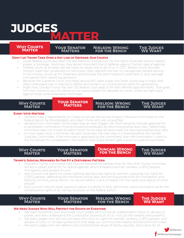## **JUDGES MATTER**

#### **RULES MATTER Accountability MATTER Why Courts Matter**

#### **Your Senator Matters**

#### **Nielson: Wrong for the Bench**

#### **THE JUDGES We Want**

#### **Don't Let Trump Take Over a Key Line of Defense: Our Courts**

- Lower federal courts are often the last bastions of protection for the rights of people without wealth, power, or privilege. And now, they are an important line of defense against Trump's radical agenda.
- Federal courts at all levels decide cases on issues vital to all of us. In 2017, federal courts blocked Trump's travel ban, protected our sanctuary cities, rejected the ban on transgender people serving in the military, stood up for Dreamers, and blocked the administration's attempts to stop teenage immigrants from obtaining abortions.
- Because the Supreme Court only hears around 80 cases a year, the lower courts play a major and often-overlooked role in helping to define and protect our constitutional rights for generations.
- Right now, Donald Trump has over 130 federal court seats to fill with lifetime appointments. That gives him the chance to put his stamp on our justice system for decades to come, unless we fight back against these ultraconservative nominees.

#### **Why Courts Matter**

#### **Your Senator Your Senator Matters Matters**

#### **Nielson: Wrong for the Bench**

#### **The Judges We Want**

#### **Every Vote Matters**

- Senators have a responsibility to closely scrutinize the record of every individual nominated to the federal bench by the president, and reject those who are unqualified.
- Senators from nominees' home states play an even bigger role. Both senators indicate approval for a candidate's nomination moving forward procedurally by returning positive blue slips. Traditionally, nominees have not moved forward if both home state senators have not returned positive blue slips.
- In most cases, once a nominee has both blue slips, the next step is a hearing before the Senate Judiciary Committee. If the nominee is approved by the committee, then the nomination is sent to the full Senate for consideration. The bottom line? Every senator gets a voice on judicial nominees.

**Why Courts Matter**

**Your Senator Matters**

**DUNCAN: WRON**<br>FOD THE RENCH  $\mathbf{S}$  THE B **Duncan: Wrong for the Bench**

#### **The Judges We Want**

#### **Trump's Judicial Nominees So Far Fit a Disturbing Pattern**

- President Trump nominated Kyle Duncan because he believes that he, like other Trump nominees, will be a rubber stamp for his radical agenda, which threatens women, workers, LGBTQ people, immigrants, and people of color.
- Kyle Duncan has spent his career fighting reproductive rights for women, opposing civil rights for LGBTQ people, defending discriminatory voting laws, dismantling protections for immigrants, and fighting criminal justice reform. His record reflects a lack of respect for the rights and dignity of other people.
- Kyle Duncan's record raises questions about his ability to fairly administer justice and stand up for the constitutional rights of all. He has no place on the federal bench.

**Why Courts Matter**

**Your Senator Matters**

**Nielson: Wrong for the Bench**

**THE JUDGES We Want The** 

#### **We Need Judges Who Will Protect the Rights of Everyone**

- We want Supreme Court and lower court judges who will be an independent check on abuses of power, and who understand the Constitution protects all of us – not just the wealthy and powerful.
- We want judges who will not turn back the clock on rights for women, workers, LGBTQ people, and people of color, or roll back protections that keep our communities healthy and environment clean.
- We want judges who will defend core constitutional values of liberty, equality, and justice for all.

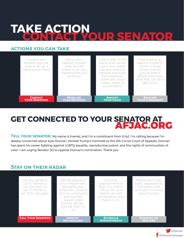## **TAKE ACTION CONTACT YOUR SENATOR**

### **actions you can take**

| Contact your<br>senators and call,<br>write or set up a<br>meeting with them. | Start a call-in.<br>petition, or letter<br>drive, and ask<br>others to join your<br>meeting with your<br>senator(s). | Write a letter to the<br>editor or an op-ed<br>in your local paper.<br>Use your personal<br>network and build<br>the movement<br>online with social<br>media. Tweet at<br>vour senators. | Hold a panel, an<br>event or a visibility<br>action to show<br>others how the<br>judicial branch<br>affects them and<br>what they can do to<br>take action. |
|-------------------------------------------------------------------------------|----------------------------------------------------------------------------------------------------------------------|------------------------------------------------------------------------------------------------------------------------------------------------------------------------------------------|-------------------------------------------------------------------------------------------------------------------------------------------------------------|
| <b>CONTACT</b>                                                                | <b>MOBILIZE</b>                                                                                                      | <b>AMPLIFY</b>                                                                                                                                                                           | <b>EDUCATE</b>                                                                                                                                              |
| <b>YOUR SENATORS</b>                                                          | <b>YOUR NETWORK</b>                                                                                                  | <b>YOUR VOICE</b>                                                                                                                                                                        | <b>YOUR COMMUNITY</b>                                                                                                                                       |

## **GET CONNECTED TO YOUR SENATOR AT** AFJAC.ORG

**TELL YOUR SENATOR:** My name is [name], and I'm a constituent from [city]. I'm calling because I'm deeply concerned about Kyle Duncan, Donald Trump's nominee to the 5th Circuit Court of Appeals. Duncan has spent his career fighting against LGBTQ equality, reproductive justice, and the rights of communities of color. I am urging Senator [X] to oppose Duncan's nomination. Thank you.

### **Stay on their radar**



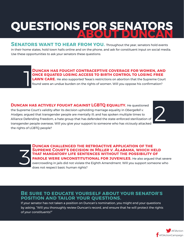## **QUESTIONS FOR SENAT**

**SENATORS WANT TO HEAR FROM YOU.** Throughout the year, senators hold events in their home states, hold town halls online and on the phone, and ask for constituent input on social media. Use these opportunities to ask your senators these questions:

> **Duncan has fought contraceptive coverage for women, and once equated losing access to birth control to losing free LAWN CARE.** He also supported Texas's restrictions on abortion that the Supreme Court

> found were an undue burden on the rights of women. Will you oppose his confirmation?

**Duncan has actively fought against LGBTQ equality.** He questioned the Supreme Court's validity after its decision upholding marriage equality in *Obergefell v. Hodges*; argued that transgender people are mentally ill; and has spoken multiple times to Alliance Defending Freedom, a hate group that has defended the state-enforced sterilization of transgender people overseas. Will you give your support to someone who has viciously attacked the rights of LGBTQ people?

1

2

**Duncan challenged the retroactive application of the Supreme Court's decision in** *Miller v. Alabama***, which held that mandatory life sentences without the possibility of PAROLE WERE UNCONSTITUTIONAL FOR JUVENILES.** He also argued that severe overcrowding in jails did not violate the Eighth Amendment. Will you support someone who does not respect basic human rights? 3

#### **Be sure to educate yourself about your senator's position and tailor your questions.**

If your senator has not taken a position on Duncan's nomination, you might end your questions by asking, "Will you thoroughly review Duncan's record, and ensure that he will protect the rights of your constituents?"

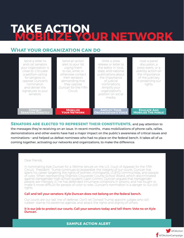## **TAKE ACTION MOBILIZE YOUR NETWORK**

### **What your organization can do**

| Send a letter to<br>and call senators<br>your organization is<br>close to. Circulate<br>a petition calling<br>for senators to<br>oppose Duncan's<br>nomination<br>and deliver the<br>signatures to your<br>senators. | Send an action<br>alert to your list<br>urging them<br>to call, write, or<br>otherwise contact<br>their senators<br>demanding that<br>they oppose<br>Duncan for the Fifth<br>Circuit. | Write a press<br>release or letter to<br>the editor in local,<br>state, and national<br>publications about<br>the importance<br>of judicial<br>nominations.<br>Amplify your<br>organization's<br>position on social<br>media. | Host a panel<br>discussion, a<br>press event, or a<br>visibility action on<br>the importance<br>of the judiciary<br>in protecting our<br>rights. |
|----------------------------------------------------------------------------------------------------------------------------------------------------------------------------------------------------------------------|---------------------------------------------------------------------------------------------------------------------------------------------------------------------------------------|-------------------------------------------------------------------------------------------------------------------------------------------------------------------------------------------------------------------------------|--------------------------------------------------------------------------------------------------------------------------------------------------|
| <b>CONTACT</b>                                                                                                                                                                                                       | <b>MOBILIZE</b>                                                                                                                                                                       | <b>AMPLIFY YOUR</b>                                                                                                                                                                                                           | <b>EDUCATE AND</b>                                                                                                                               |
| <b>SENATORS DIRECTLY</b>                                                                                                                                                                                             | <b>YOUR NETWORK</b>                                                                                                                                                                   | <b>ORGANIZATION'S VOICE</b>                                                                                                                                                                                                   | <b>MOBILIZE THE PUBLIC</b>                                                                                                                       |

**SENATORS ARE ELECTED TO REPRESENT THEIR CONSTITUENTS, and pay attention to** the messages they're receiving on an issue. In recent months, mass mobilizations of phone calls, rallies, demonstrations and other events have had a major impact on the public's awareness of critical issues and nominations – and helped us defeat nominees who had no place on the federal bench. It takes all of us coming together, activating our networks and organizations, to make the difference.

#### Dear friends,

In nominating Kyle Duncan for a lifetime tenure on the U.S. Court of Appeals for the Fifth Circuit, President Trump continues to jeopardize the integrity of our courts. Duncan has spent his career targeting the rights of women, immigrants, LGBTQ communities, and people of color. When representing Virginia's Gloucester County School Board, which discriminated against transgender high school student Gavin Grimm, Duncan argued that transgender people are mentally ill. He has defended inhumane conditions in prisons, and has fought to make it more difficult for people of color to vote. Duncan's nomination is a danger to our civil rights.

#### Call and tell your senators: Kyle Duncan does not belong on the federal bench.

Our courts are our last line of defense. Don't let Donald Trump appoint judges who will rubber- stamp his extremist agenda and attack the rights and dignity of others.

It is our job to protect our courts. Call your senators today and tell them: Vote no on Kyle Duncan.

**sample action alert**

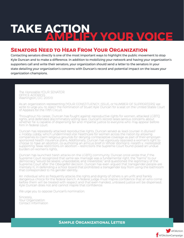## **TAKE ACTION AMPLIFY YOUR VOICE**

### **Senators Need to Hear From Your Organization**

Contacting senators directly is one of the most important ways to highlight the public movement to stop Kyle Duncan and to make a difference. In addition to mobilizing your network and having your organization's supporters call and write their senators, your organization should send a letter to the senators in your state detailing your organization's concerns with Duncan's record and potential impact on the issues your organization champions.

The Honorable YOUR SENATOR OFFICE ADDRESS Washington, D.C. 20510

As an organization representing [YOUR CONSTITUENCY, ISSUE, or NUMBER OF SUPPORTERS] we write to urge you to reject the nomination of Stuart Kyle Duncan for a seat on the United States Court of Appeals for the Fifth Circuit.

Throughout his career, Duncan has fought against reproductive rights for women, attacked LGBTQ rights, and defended discriminatory voting laws. Duncan's record raises serious concerns about whether he is capable of dispensing fair and impartial justice to everyone who may appear before him in federal court.

Duncan has repeatedly attacked reproductive rights. Duncan served as lead counsel in *Burwell v. Hobby Lobby*, which undermined vital healthcare for women across the nation by allowing companies to claim religious grounds for denying contraceptive coverage as part of their employersponsored health insurance plans. Additionally, Duncan has vigorously opposed a woman's right to choose to have an abortion, co-authoring an amicus brief in *Whole Woman's Health v. Hellerstedt*  supporting Texas restrictions on abortion – restrictions the Supreme Court found posed an undue burden on women's rights.

Duncan has launched harsh attacks on the LGBTQ community. Duncan once wrote that if the Supreme Court recognized that same-sex marriage was a fundamental right, the "harms" to our democracy "would be severe, unavoidable, and irreversible," and questioned the legitimacy of the Supreme Court after the *Obergefell* decision. Duncan has even argued that transgender people are mentally ill, in defending a school board that prohibited a transgender boy from using the bathroom that corresponded to his gender identity.

An individual who so frequently attacks the rights and dignity of others is an unfit and frankly dangerous choice for the federal bench. A federal judge must inspire confidence that all who come before them will be treated with respect and that even-handed, unbiased justice will be dispensed. Kyle Duncan does not and cannot inspire that confidence.

We urge you to oppose Duncan's nomination.

Sincerely, Your Organization Contact Information

**Sample Organizational Letter**

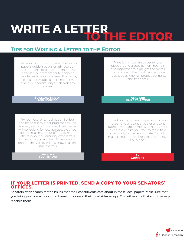## **WRITE A LETTER TO THE EDITOR**

## **Tips for Writing a Letter to the Editor**



#### **If your letter is printed, send a copy to your senators' offices.**

Senators often search for the issues that their constituents care about in these local papers. Make sure that you bring your piece to your next meeting or send their local aides a copy. This will ensure that your message reaches them.

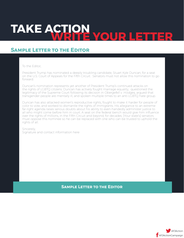# TAKE ACTION **WOUR LETT**

### **Sample Letter to the Editor**

To the Editor,

President Trump has nominated a deeply troubling candidate, Stuart Kyle Duncan, for a seat on the U.S. Court of Appeals for the Fifth Circuit. Senators must not allow this nomination to go forward.

Duncan's nomination represents yet another of President Trump's continued attacks on the rights of LGBTQ citizens. Duncan has actively fought marriage equality, questioned the legitimacy of the Supreme Court following its decision in *Obergefell v. Hodges,* argued that transgender people are mentally ill, and spoken multiple times to an anti-LGBTQ hate group.

Duncan has also attacked women's reproductive rights, fought to make it harder for people of color to vote, and worked to dismantle the rights of immigrants. His allegiance to an extreme far-right agenda raises serious doubts about his ability to even-handedly administer justice to all who might come before him in court. A seat on the federal bench would give him influence over the rights of millions, in the Fifth Circuit and beyond, for decades. [Your state's] senators must oppose this nominee so he can be replaced with one who can be trusted to uphold the rights of all.

Sincerely, Signature and contact information here

#### **Sample Letter to the Editor**

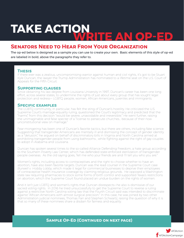# **TAKE ACTIONWRITE AN OP-ED**

### **Senators Need to Hear From Your Organization**

The op-ed below is designed as a sample you can use to create your own. Basic elements of this style of op-ed are labeled in bold, above the paragraphs they refer to.

#### **Thesis**

If there ever was a zealous, uncompromising warrior against human and civil rights, it's got to be Stuart Kyle Duncan, the lawyer the Trump Administration has nominated to a lifetime seat on the U.S. Court of Appeals for the Fifth Circuit.

#### **Supporting clauses**

Since obtaining his law degree from Louisiana University in 1997, Duncan's career has been one long effort, across several states, to undermine the rights of just about every group that has sought legal protection and redress— LGBTQ people, women, African-Americans, juveniles and immigrants.

#### **Specific examples**

The LGBTQ community, in particular, has felt the sting of Duncan's hostility. He criticized the U.S. Supreme Court's marriage-equality ruling, questioned the Court's legitimacy and predicted that the "harms" from this decision "would be severe, unavoidable and irreversible." He went further, raising the unimaginable and false specter of a "license to persecute churches… because of their now unconstitutional view on marriage."

Fear-mongering has been one of Duncan's favorite tactics, but there are others, including fake science. Suggesting that transgender Americans are mentally ill and dismissing the concept of gender identity as a "delusion," he argued on behalf of discriminatory bills in Virginia and North Carolina aimed at prohibiting transgender people from using bathrooms , while fighting against the right of gay couples to adopt in Alabama and Louisiana.

Duncan has spoken several times to the so-called Alliance Defending Freedom, a hate group according to the Southern Poverty Law Center, which has defended state-enforced sterilization of transgender people overseas. As the old saying goes, Tell me who your friends are and I'll tell you who you are."

Women's rights, including access to contraceptives and the right to choose whether to have an abortion, have also been favorite targets. Duncan was the lead counsel in the Supreme Court case *Burwell v. Hobby Lobby*, which made it legal for commercial businesses to deprive their employees of contraceptive health insurance coverage by claiming religious grounds. He opposed a Washington state law requiring pharmacies to stock some forms of birth control and supported Texas's restrictions on abortion, which the Supreme Court found placed an undue burden on the rights of women.

And it isn't just LGBTQ and women's rights that Duncan disrespects—he also is dismissive of our sacred voting rights. In 2016 he tried unsuccessfully to get the Supreme Court to reverse a ruling against a restrictive North Carolina voting law that the Fourth Circuit said was intended to discriminate against "African Americans with almost surgical precision." In this case, he was joined by two other Administration judicial nominees, Thomas Farr and Stephen Schwartz, raising the question of why it is that so many of these nominees share a disdain for fairness and equality.

#### **SAMPLE OP-ED (CONTINUED ON NEXT PAGE)**

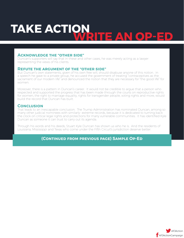## **TAKE ACTIONWRITE AN OP-ED**

#### **Acknowledge the "other side"**

Duncan's supporters will say that in these and other cases, he was merely acting as a lawyer representing the views of his clients.

#### **Refute the argument of the "other side"**

But Duncan's own statements, given of his own free will, should disabuse anyone of this notion. In a speech he gave to a private group, he accused the government of treating "contraceptives as the sacrament of our modern life" and denounced the notion that they are necessary for "the good life" for women.

Moreover, there is a pattern in Duncan's career. It would not be credible to argue that a person who respected and supported the progress that has been made through the courts on reproductive rights for women, the right to marriage equality, rights for transgender people, voting rights and more, would build the record that Duncan has built.

#### **Conclusion**

That leads to an inescapable conclusion. The Trump Administration has nominated Duncan, among so many other judicial nominees with similarly- extreme records, because it is dedicated to turning back the clock on critical legal rights and protections for many vulnerable communities. It has identified Kyle Duncan as someone it can trust to carry out its agenda.

Through his words and his deeds, Stuart Kyle Duncan has shown us who he is. And the residents of Louisiana, Mississippi and Texas who come under the Fifth Circuit's jurisdiction deserve better.

#### **(Continued from previous page) Sample Op-Ed**